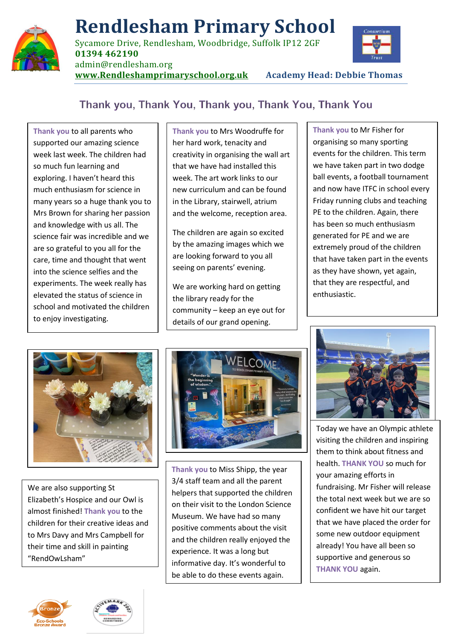

## **Rendlesham Primary School**

Sycamore Drive, Rendlesham, Woodbridge, Suffolk IP12 2GF **01394 462190**



admin@rendlesham.org

**[www.Rendleshamprimaryschool.org.uk](http://www.rendleshamprimaryschool.org.uk/) Academy Head: Debbie Thomas**

## Thank you, Thank You, Thank you, Thank You, Thank You

**Thank you** to all parents who supported our amazing science week last week. The children had so much fun learning and exploring. I haven't heard this much enthusiasm for science in many years so a huge thank you to Mrs Brown for sharing her passion and knowledge with us all. The science fair was incredible and we are so grateful to you all for the care, time and thought that went into the science selfies and the experiments. The week really has elevated the status of science in school and motivated the children to enjoy investigating.

**Thank you** to Mrs Woodruffe for her hard work, tenacity and creativity in organising the wall art that we have had installed this week. The art work links to our new curriculum and can be found in the Library, stairwell, atrium and the welcome, reception area.

The children are again so excited by the amazing images which we are looking forward to you all seeing on parents' evening.

We are working hard on getting the library ready for the community – keep an eye out for details of our grand opening.

**Thank you** to Mr Fisher for organising so many sporting events for the children. This term we have taken part in two dodge ball events, a football tournament and now have ITFC in school every Friday running clubs and teaching PE to the children. Again, there has been so much enthusiasm generated for PE and we are extremely proud of the children that have taken part in the events as they have shown, yet again, that they are respectful, and enthusiastic.



We are also supporting St Elizabeth's Hospice and our Owl is almost finished! **Thank you** to the children for their creative ideas and to Mrs Davy and Mrs Campbell for their time and skill in painting "RendOwLsham"



**Thank you** to Miss Shipp, the year 3/4 staff team and all the parent helpers that supported the children on their visit to the London Science Museum. We have had so many positive comments about the visit and the children really enjoyed the experience. It was a long but informative day. It's wonderful to be able to do these events again.



Today we have an Olympic athlete visiting the children and inspiring them to think about fitness and health. **THANK YOU** so much for your amazing efforts in fundraising. Mr Fisher will release the total next week but we are so confident we have hit our target that we have placed the order for some new outdoor equipment already! You have all been so supportive and generous so **THANK YOU** again.